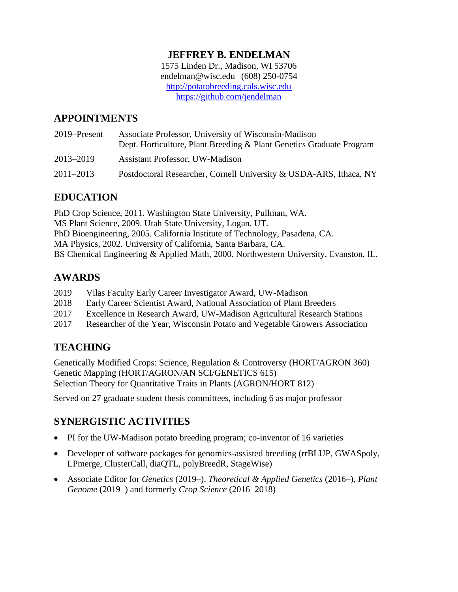### **JEFFREY B. ENDELMAN**

1575 Linden Dr., Madison, WI 53706 [endelman@wisc.edu](mailto:endelman@wisc.edu) (608) 250-0754 [http://potatobreeding.cals.wisc.edu](http://potatobreeding.cals.wisc.edu/) <https://github.com/jendelman>

## **APPOINTMENTS**

| 2019–Present | Associate Professor, University of Wisconsin-Madison<br>Dept. Horticulture, Plant Breeding & Plant Genetics Graduate Program |
|--------------|------------------------------------------------------------------------------------------------------------------------------|
| 2013-2019    | <b>Assistant Professor, UW-Madison</b>                                                                                       |
| 2011–2013    | Postdoctoral Researcher, Cornell University & USDA-ARS, Ithaca, NY                                                           |

## **EDUCATION**

PhD Crop Science, 2011. Washington State University, Pullman, WA. MS Plant Science, 2009. Utah State University, Logan, UT. PhD Bioengineering, 2005. California Institute of Technology, Pasadena, CA. MA Physics, 2002. University of California, Santa Barbara, CA. BS Chemical Engineering & Applied Math, 2000. Northwestern University, Evanston, IL.

## **AWARDS**

- 2019 Vilas Faculty Early Career Investigator Award, UW-Madison
- 2018 Early Career Scientist Award, National Association of Plant Breeders
- 2017 Excellence in Research Award, UW-Madison Agricultural Research Stations
- 2017 Researcher of the Year, Wisconsin Potato and Vegetable Growers Association

# **TEACHING**

Genetically Modified Crops: Science, Regulation & Controversy (HORT/AGRON 360) Genetic Mapping (HORT/AGRON/AN SCI/GENETICS 615) Selection Theory for Quantitative Traits in Plants (AGRON/HORT 812)

Served on 27 graduate student thesis committees, including 6 as major professor

# **SYNERGISTIC ACTIVITIES**

- PI for the UW-Madison potato breeding program; co-inventor of 16 varieties
- Developer of software packages for genomics-assisted breeding (rrBLUP, GWASpoly, LPmerge, ClusterCall, diaQTL, polyBreedR, StageWise)
- Associate Editor for *Genetics* (2019–)*, Theoretical & Applied Genetics* (2016–)*, Plant Genome* (2019–) and formerly *Crop Science* (2016–2018)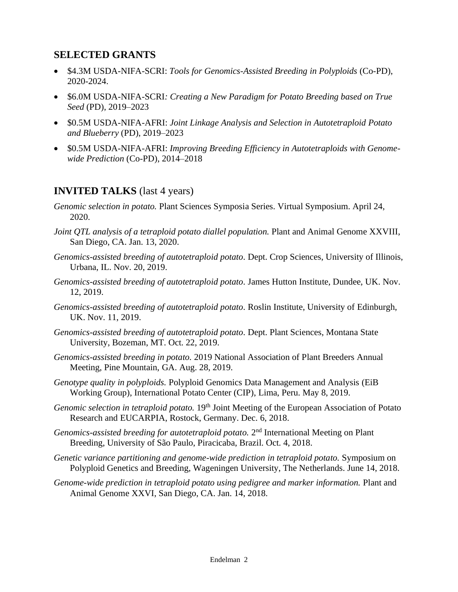### **SELECTED GRANTS**

- \$4.3M USDA-NIFA-SCRI: *Tools for Genomics-Assisted Breeding in Polyploids* (Co-PD), 2020-2024.
- \$6.0M USDA-NIFA-SCRI*: Creating a New Paradigm for Potato Breeding based on True Seed* (PD), 2019–2023
- \$0.5M USDA-NIFA-AFRI: *Joint Linkage Analysis and Selection in Autotetraploid Potato and Blueberry* (PD), 2019–2023
- \$0.5M USDA-NIFA-AFRI: *Improving Breeding Efficiency in Autotetraploids with Genomewide Prediction* (Co-PD), 2014–2018

### **INVITED TALKS** (last 4 years)

- *Genomic selection in potato.* Plant Sciences Symposia Series. Virtual Symposium. April 24, 2020.
- *Joint OTL analysis of a tetraploid potato diallel population.* Plant and Animal Genome XXVIII, San Diego, CA. Jan. 13, 2020.
- *Genomics-assisted breeding of autotetraploid potato.* Dept. Crop Sciences, University of Illinois, Urbana, IL. Nov. 20, 2019.
- *Genomics-assisted breeding of autotetraploid potato.* James Hutton Institute, Dundee, UK. Nov. 12, 2019.
- *Genomics-assisted breeding of autotetraploid potato.* Roslin Institute, University of Edinburgh, UK. Nov. 11, 2019.
- *Genomics-assisted breeding of autotetraploid potato.* Dept. Plant Sciences, Montana State University, Bozeman, MT. Oct. 22, 2019.
- *Genomics-assisted breeding in potato.* 2019 National Association of Plant Breeders Annual Meeting, Pine Mountain, GA. Aug. 28, 2019.
- *Genotype quality in polyploids.* Polyploid Genomics Data Management and Analysis (EiB Working Group), International Potato Center (CIP), Lima, Peru. May 8, 2019.
- *Genomic selection in tetraploid potato.* 19th Joint Meeting of the European Association of Potato Research and EUCARPIA, Rostock, Germany. Dec. 6, 2018.
- Genomics-assisted breeding for autotetraploid potato. 2<sup>nd</sup> International Meeting on Plant Breeding, University of São Paulo, Piracicaba, Brazil. Oct. 4, 2018.
- *Genetic variance partitioning and genome-wide prediction in tetraploid potato.* Symposium on Polyploid Genetics and Breeding, Wageningen University, The Netherlands. June 14, 2018.
- *Genome-wide prediction in tetraploid potato using pedigree and marker information.* Plant and Animal Genome XXVI, San Diego, CA. Jan. 14, 2018.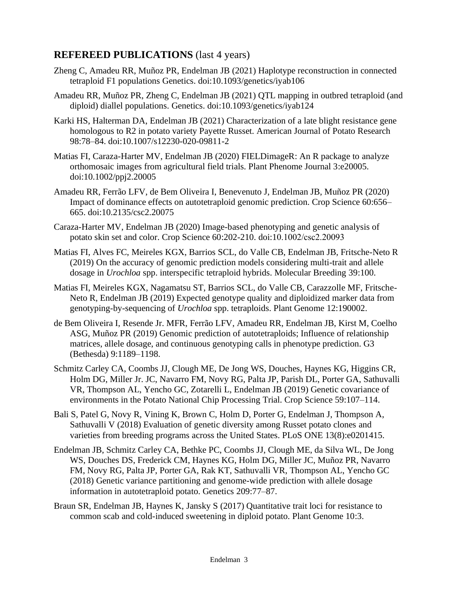## **REFEREED PUBLICATIONS** (last 4 years)

- Zheng C, Amadeu RR, Muñoz PR, Endelman JB (2021) Haplotype reconstruction in connected tetraploid F1 populations Genetics. doi:10.1093/genetics/iyab106
- Amadeu RR, Muñoz PR, Zheng C, Endelman JB (2021) QTL mapping in outbred tetraploid (and diploid) diallel populations. Genetics. doi:10.1093/genetics/iyab124
- Karki HS, Halterman DA, Endelman JB (2021) Characterization of a late blight resistance gene homologous to R2 in potato variety Payette Russet. American Journal of Potato Research 98:78–84. doi:10.1007/s12230-020-09811-2
- Matias FI, Caraza-Harter MV, Endelman JB (2020) FIELDimageR: An R package to analyze orthomosaic images from agricultural field trials. Plant Phenome Journal 3:e20005. doi:10.1002/ppj2.20005
- Amadeu RR, Ferrão LFV, de Bem Oliveira I, Benevenuto J, Endelman JB, Muñoz PR (2020) Impact of dominance effects on autotetraploid genomic prediction. Crop Science 60:656– 665. doi:10.2135/csc2.20075
- Caraza-Harter MV, Endelman JB (2020) Image-based phenotyping and genetic analysis of potato skin set and color. Crop Science 60:202-210. doi:10.1002/csc2.20093
- Matias FI, Alves FC, Meireles KGX, Barrios SCL, do Valle CB, Endelman JB, Fritsche-Neto R (2019) On the accuracy of genomic prediction models considering multi-trait and allele dosage in *Urochloa* spp. interspecific tetraploid hybrids. Molecular Breeding 39:100.
- Matias FI, Meireles KGX, Nagamatsu ST, Barrios SCL, do Valle CB, Carazzolle MF, Fritsche-Neto R, Endelman JB (2019) Expected genotype quality and diploidized marker data from genotyping-by-sequencing of *Urochloa* spp. tetraploids. Plant Genome 12:190002.
- de Bem Oliveira I, Resende Jr. MFR, Ferrão LFV, Amadeu RR, Endelman JB, Kirst M, Coelho ASG, Muñoz PR (2019) Genomic prediction of autotetraploids; Influence of relationship matrices, allele dosage, and continuous genotyping calls in phenotype prediction. G3 (Bethesda) 9:1189–1198.
- Schmitz Carley CA, Coombs JJ, Clough ME, De Jong WS, Douches, Haynes KG, Higgins CR, Holm DG, Miller Jr. JC, Navarro FM, Novy RG, Palta JP, Parish DL, Porter GA, Sathuvalli VR, Thompson AL, Yencho GC, Zotarelli L, Endelman JB (2019) Genetic covariance of environments in the Potato National Chip Processing Trial. Crop Science 59:107–114.
- Bali S, Patel G, Novy R, Vining K, Brown C, Holm D, Porter G, Endelman J, Thompson A, Sathuvalli V (2018) Evaluation of genetic diversity among Russet potato clones and varieties from breeding programs across the United States. PLoS ONE 13(8):e0201415.
- Endelman JB, Schmitz Carley CA, Bethke PC, Coombs JJ, Clough ME, da Silva WL, De Jong WS, Douches DS, Frederick CM, Haynes KG, Holm DG, Miller JC, Muñoz PR, Navarro FM, Novy RG, Palta JP, Porter GA, Rak KT, Sathuvalli VR, Thompson AL, Yencho GC (2018) Genetic variance partitioning and genome-wide prediction with allele dosage information in autotetraploid potato. Genetics 209:77–87.
- Braun SR, Endelman JB, Haynes K, Jansky S (2017) Quantitative trait loci for resistance to common scab and cold-induced sweetening in diploid potato. Plant Genome 10:3.